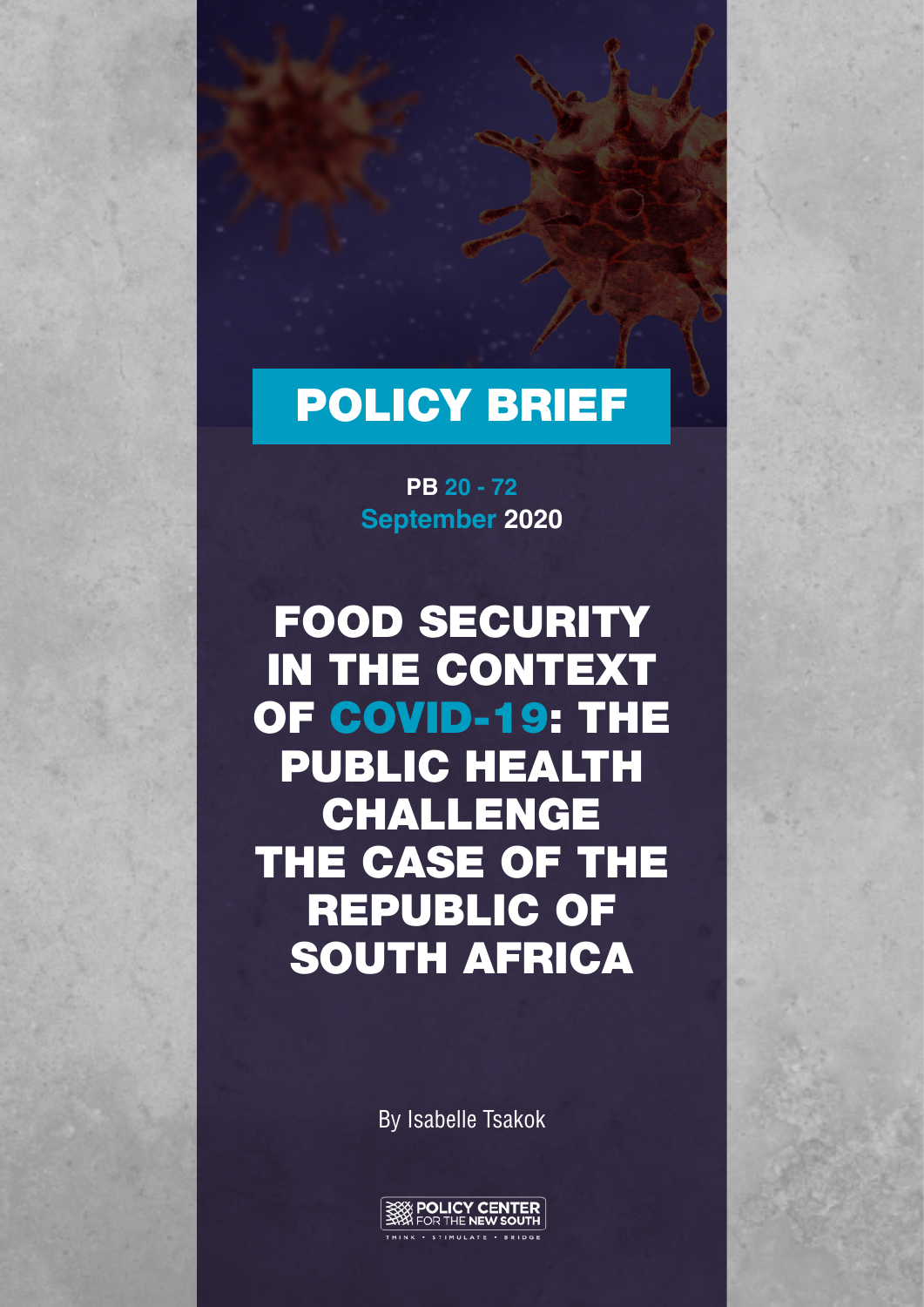# POLICY BRIEF

**September 2020 PB 20 - 72**

FOOD SECURITY IN THE CONTEXT OF COVID-19: THE PUBLIC HEALTH CHALLENGE THE CASE OF THE REPUBLIC OF SOUTH AFRICA

By Isabelle Tsakok

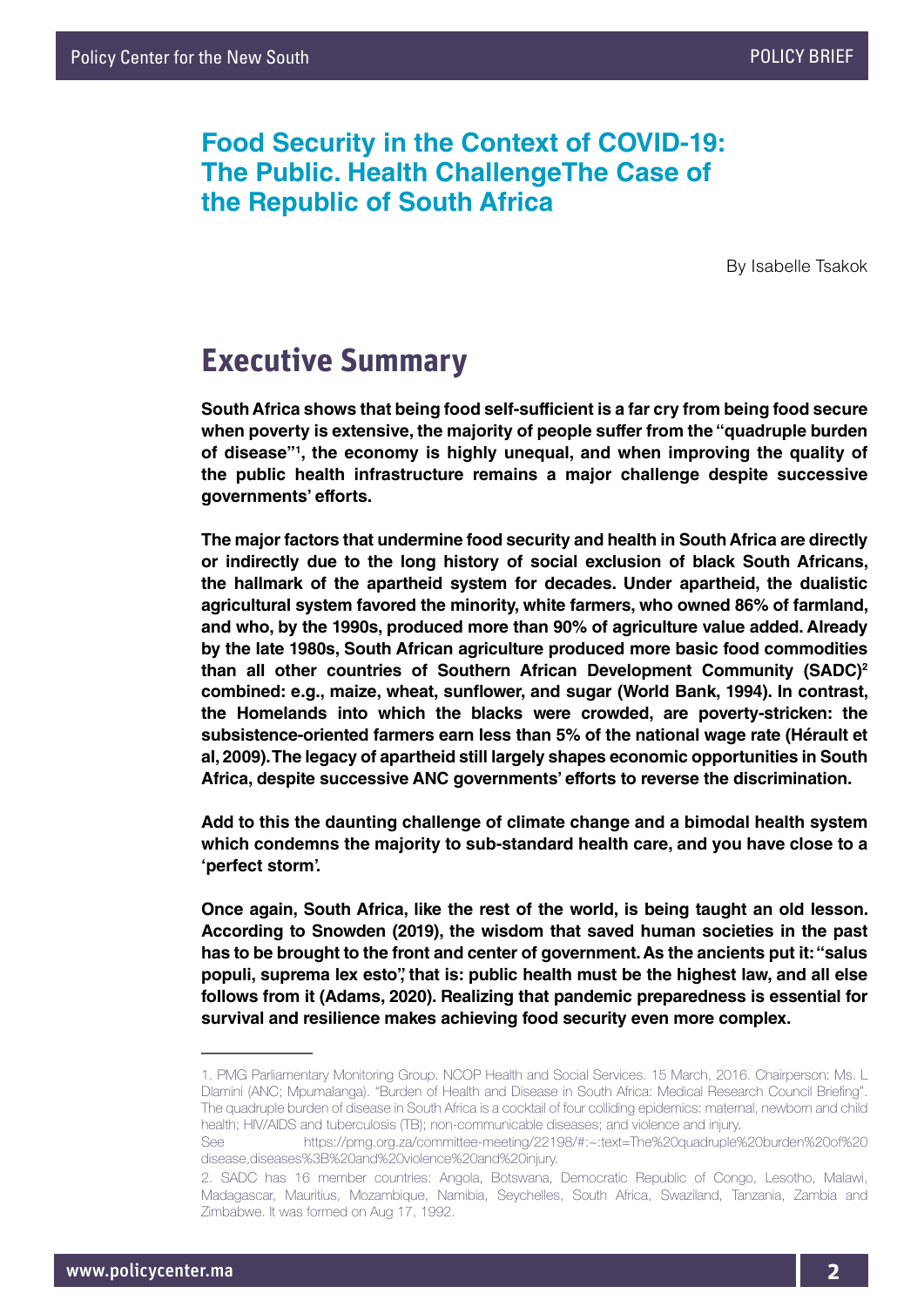## **Food Security in the Context of COVID-19: The Public. Health ChallengeThe Case of the Republic of South Africa**

By Isabelle Tsakok

## **Executive Summary**

**South Africa shows that being food self-sufficient is a far cry from being food secure when poverty is extensive, the majority of people suffer from the "quadruple burden of disease"1 , the economy is highly unequal, and when improving the quality of the public health infrastructure remains a major challenge despite successive governments' efforts.** 

**The major factors that undermine food security and health in South Africa are directly or indirectly due to the long history of social exclusion of black South Africans, the hallmark of the apartheid system for decades. Under apartheid, the dualistic agricultural system favored the minority, white farmers, who owned 86% of farmland, and who, by the 1990s, produced more than 90% of agriculture value added. Already by the late 1980s, South African agriculture produced more basic food commodities than all other countries of Southern African Development Community (SADC)2 combined: e.g., maize, wheat, sunflower, and sugar (World Bank, 1994). In contrast, the Homelands into which the blacks were crowded, are poverty-stricken: the subsistence-oriented farmers earn less than 5% of the national wage rate (Hérault et al, 2009). The legacy of apartheid still largely shapes economic opportunities in South Africa, despite successive ANC governments' efforts to reverse the discrimination.** 

**Add to this the daunting challenge of climate change and a bimodal health system which condemns the majority to sub-standard health care, and you have close to a 'perfect storm'.**

**Once again, South Africa, like the rest of the world, is being taught an old lesson. According to Snowden (2019), the wisdom that saved human societies in the past has to be brought to the front and center of government. As the ancients put it: "salus populi, suprema lex esto", that is: public health must be the highest law, and all else follows from it (Adams, 2020). Realizing that pandemic preparedness is essential for survival and resilience makes achieving food security even more complex.** 

<sup>1.</sup> PMG Parliamentary Monitoring Group. NCOP Health and Social Services. 15 March, 2016. Chairperson: Ms. L Dlamini (ANC; Mpumalanga). "Burden of Health and Disease in South Africa: Medical Research Council Briefing". The quadruple burden of disease in South Africa is a cocktail of four colliding epidemics: maternal, newborn and child health; HIV/AIDS and tuberculosis (TB); non-communicable diseases; and violence and injury.

See https://pmg.org.za/committee-meeting/22198/#:~:text=The%20quadruple%20burden%20of%20 disease,diseases%3B%20and%20violence%20and%20injury.

<sup>2.</sup> SADC has 16 member countries: Angola, Botswana, Democratic Republic of Congo, Lesotho, Malawi, Madagascar, Mauritius, Mozambique, Namibia, Seychelles, South Africa, Swaziland, Tanzania, Zambia and Zimbabwe. It was formed on Aug 17, 1992.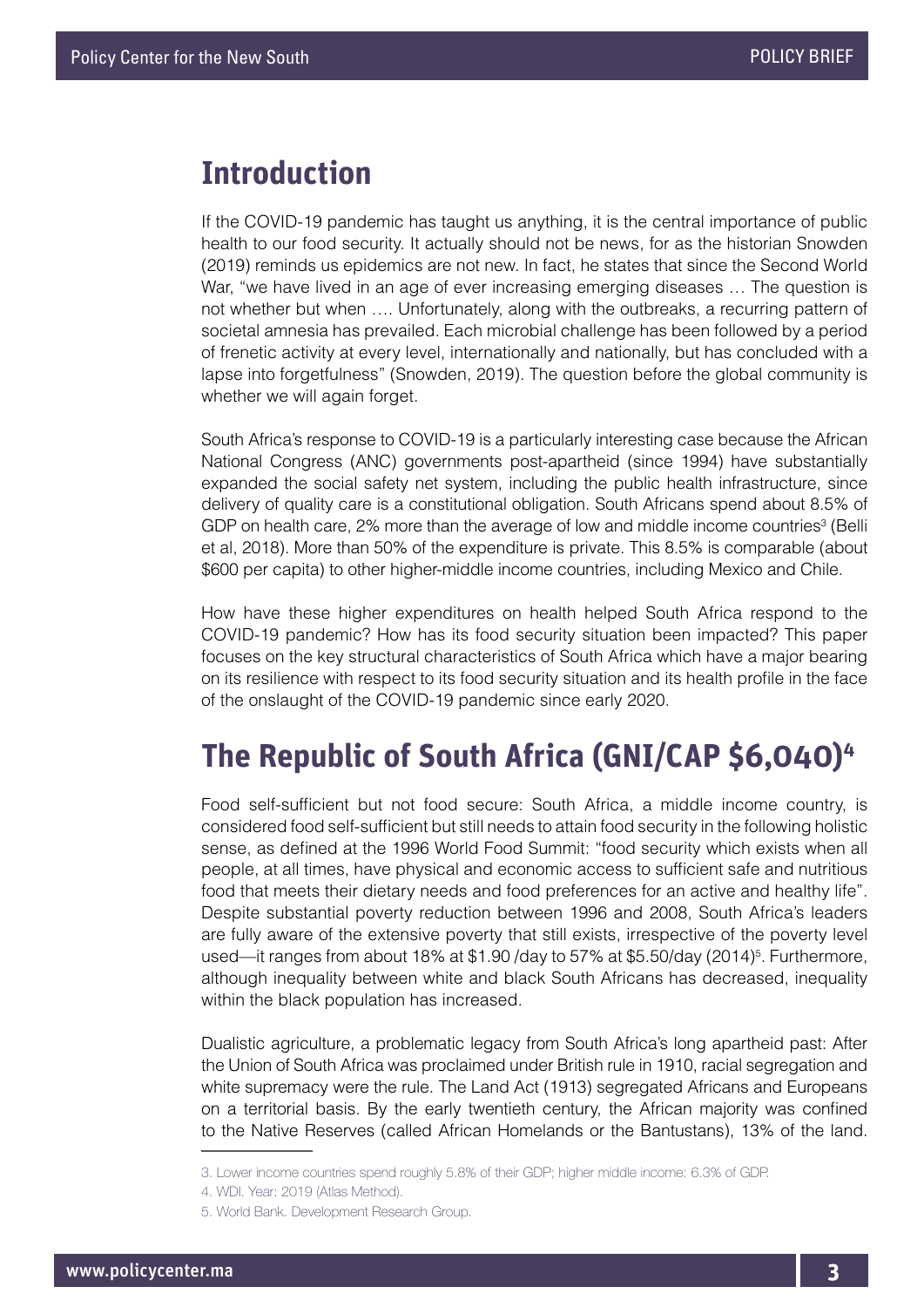## **Introduction**

If the COVID-19 pandemic has taught us anything, it is the central importance of public health to our food security. It actually should not be news, for as the historian Snowden (2019) reminds us epidemics are not new. In fact, he states that since the Second World War, "we have lived in an age of ever increasing emerging diseases … The question is not whether but when …. Unfortunately, along with the outbreaks, a recurring pattern of societal amnesia has prevailed. Each microbial challenge has been followed by a period of frenetic activity at every level, internationally and nationally, but has concluded with a lapse into forgetfulness" (Snowden, 2019). The question before the global community is whether we will again forget.

South Africa's response to COVID-19 is a particularly interesting case because the African National Congress (ANC) governments post-apartheid (since 1994) have substantially expanded the social safety net system, including the public health infrastructure, since delivery of quality care is a constitutional obligation. South Africans spend about 8.5% of GDP on health care, 2% more than the average of low and middle income countries<sup>3</sup> (Belli et al, 2018). More than 50% of the expenditure is private. This 8.5% is comparable (about \$600 per capita) to other higher-middle income countries, including Mexico and Chile.

How have these higher expenditures on health helped South Africa respond to the COVID-19 pandemic? How has its food security situation been impacted? This paper focuses on the key structural characteristics of South Africa which have a major bearing on its resilience with respect to its food security situation and its health profile in the face of the onslaught of the COVID-19 pandemic since early 2020.

## **The Republic of South Africa (GNI/CAP \$6,040)4**

Food self-sufficient but not food secure: South Africa, a middle income country, is considered food self-sufficient but still needs to attain food security in the following holistic sense, as defined at the 1996 World Food Summit: "food security which exists when all people, at all times, have physical and economic access to sufficient safe and nutritious food that meets their dietary needs and food preferences for an active and healthy life". Despite substantial poverty reduction between 1996 and 2008, South Africa's leaders are fully aware of the extensive poverty that still exists, irrespective of the poverty level used—it ranges from about 18% at \$1.90 /day to 57% at \$5.50/day (2014)<sup>5</sup>. Furthermore, although inequality between white and black South Africans has decreased, inequality within the black population has increased.

Dualistic agriculture, a problematic legacy from South Africa's long apartheid past: After the Union of South Africa was proclaimed under British rule in 1910, racial segregation and white supremacy were the rule. The Land Act (1913) segregated Africans and Europeans on a territorial basis. By the early twentieth century, the African majority was confined to the Native Reserves (called African Homelands or the Bantustans), 13% of the land.

<sup>3.</sup> Lower income countries spend roughly 5.8% of their GDP; higher middle income: 6.3% of GDP.

<sup>4.</sup> WDI. Year: 2019 (Atlas Method).

<sup>5.</sup> World Bank. Development Research Group.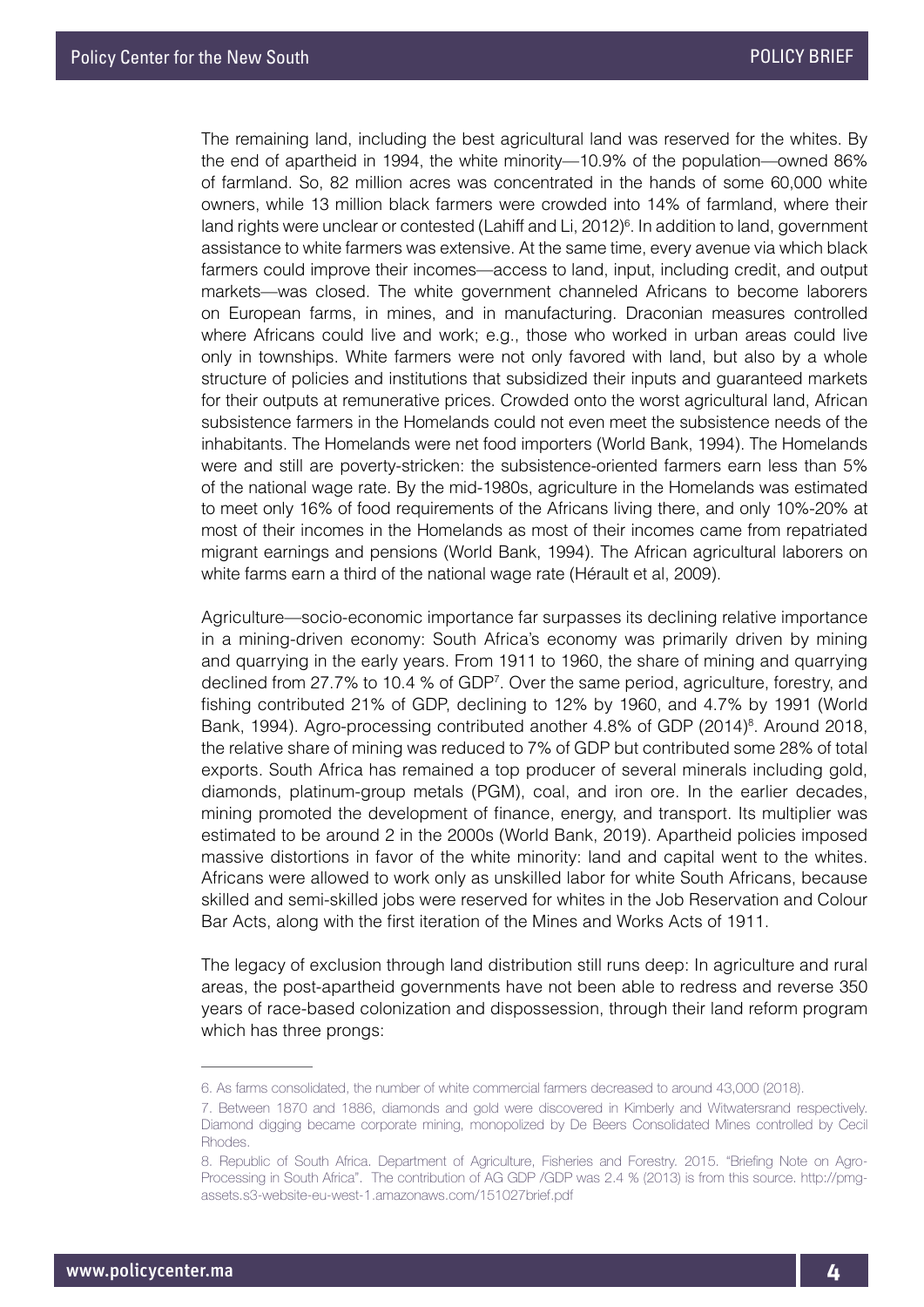The remaining land, including the best agricultural land was reserved for the whites. By the end of apartheid in 1994, the white minority—10.9% of the population—owned 86% of farmland. So, 82 million acres was concentrated in the hands of some 60,000 white owners, while 13 million black farmers were crowded into 14% of farmland, where their land rights were unclear or contested (Lahiff and Li, 2012)<sup>6</sup>. In addition to land, government assistance to white farmers was extensive. At the same time, every avenue via which black farmers could improve their incomes—access to land, input, including credit, and output markets—was closed. The white government channeled Africans to become laborers on European farms, in mines, and in manufacturing. Draconian measures controlled where Africans could live and work; e.g., those who worked in urban areas could live only in townships. White farmers were not only favored with land, but also by a whole structure of policies and institutions that subsidized their inputs and guaranteed markets for their outputs at remunerative prices. Crowded onto the worst agricultural land, African subsistence farmers in the Homelands could not even meet the subsistence needs of the inhabitants. The Homelands were net food importers (World Bank, 1994). The Homelands were and still are poverty-stricken: the subsistence-oriented farmers earn less than 5% of the national wage rate. By the mid-1980s, agriculture in the Homelands was estimated to meet only 16% of food requirements of the Africans living there, and only 10%-20% at most of their incomes in the Homelands as most of their incomes came from repatriated migrant earnings and pensions (World Bank, 1994). The African agricultural laborers on white farms earn a third of the national wage rate (Hérault et al, 2009).

Agriculture—socio-economic importance far surpasses its declining relative importance in a mining-driven economy: South Africa's economy was primarily driven by mining and quarrying in the early years. From 1911 to 1960, the share of mining and quarrying declined from 27.7% to 10.4 % of GDP7 . Over the same period, agriculture, forestry, and fishing contributed 21% of GDP, declining to 12% by 1960, and 4.7% by 1991 (World Bank, 1994). Agro-processing contributed another 4.8% of GDP (2014)<sup>8</sup>. Around 2018, the relative share of mining was reduced to 7% of GDP but contributed some 28% of total exports. South Africa has remained a top producer of several minerals including gold, diamonds, platinum-group metals (PGM), coal, and iron ore. In the earlier decades, mining promoted the development of finance, energy, and transport. Its multiplier was estimated to be around 2 in the 2000s (World Bank, 2019). Apartheid policies imposed massive distortions in favor of the white minority: land and capital went to the whites. Africans were allowed to work only as unskilled labor for white South Africans, because skilled and semi-skilled jobs were reserved for whites in the Job Reservation and Colour Bar Acts, along with the first iteration of the Mines and Works Acts of 1911.

The legacy of exclusion through land distribution still runs deep: In agriculture and rural areas, the post-apartheid governments have not been able to redress and reverse 350 years of race-based colonization and dispossession, through their land reform program which has three prongs:

<sup>6.</sup> As farms consolidated, the number of white commercial farmers decreased to around 43,000 (2018).

<sup>7.</sup> Between 1870 and 1886, diamonds and gold were discovered in Kimberly and Witwatersrand respectively. Diamond digging became corporate mining, monopolized by De Beers Consolidated Mines controlled by Cecil Rhodes.

<sup>8.</sup> Republic of South Africa. Department of Agriculture, Fisheries and Forestry. 2015. "Briefing Note on Agro-Processing in South Africa". The contribution of AG GDP /GDP was 2.4 % (2013) is from this source. http://pmgassets.s3-website-eu-west-1.amazonaws.com/151027brief.pdf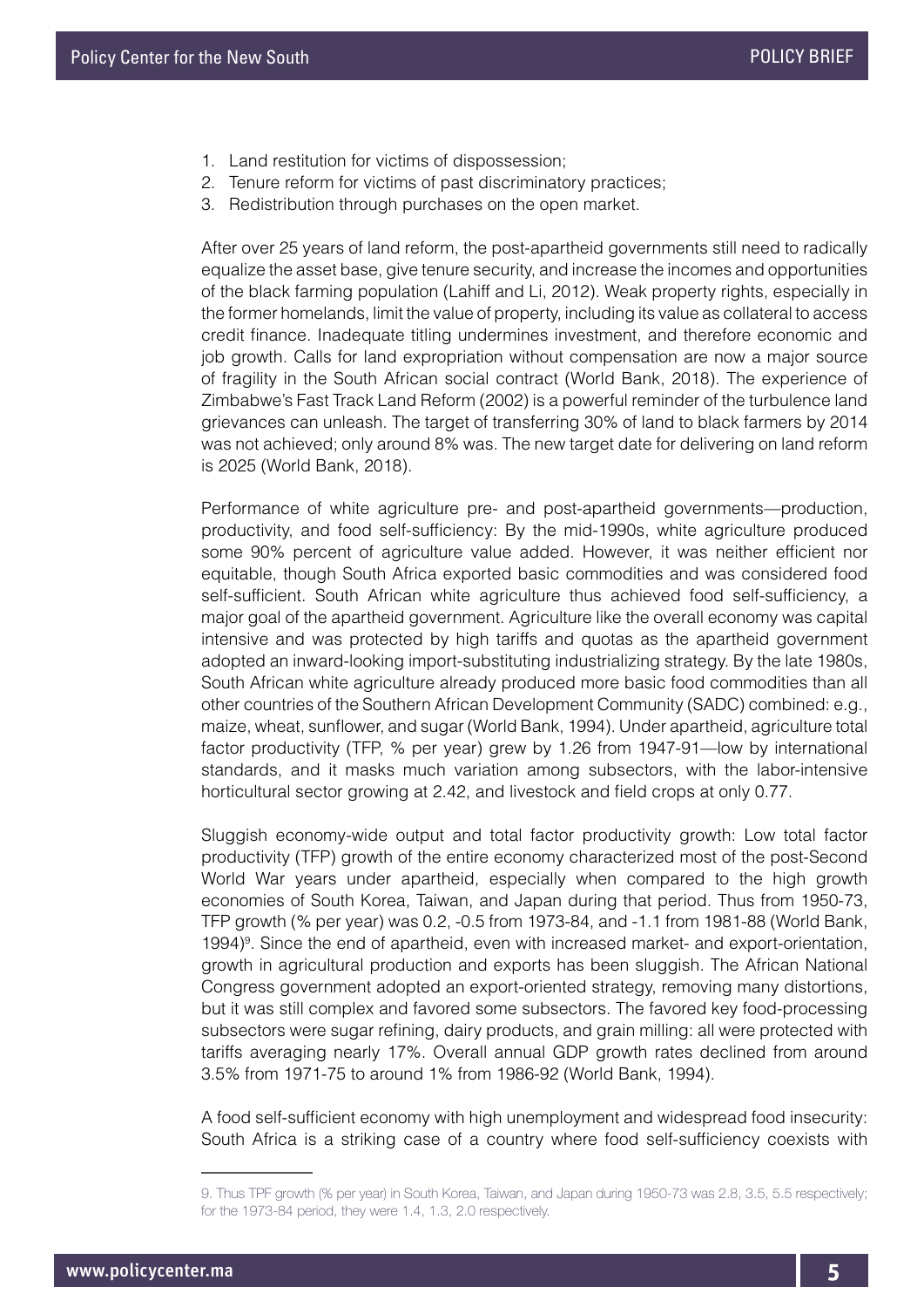- 1. Land restitution for victims of dispossession;
- 2. Tenure reform for victims of past discriminatory practices;
- 3. Redistribution through purchases on the open market.

After over 25 years of land reform, the post-apartheid governments still need to radically equalize the asset base, give tenure security, and increase the incomes and opportunities of the black farming population (Lahiff and Li, 2012). Weak property rights, especially in the former homelands, limit the value of property, including its value as collateral to access credit finance. Inadequate titling undermines investment, and therefore economic and job growth. Calls for land expropriation without compensation are now a major source of fragility in the South African social contract (World Bank, 2018). The experience of Zimbabwe's Fast Track Land Reform (2002) is a powerful reminder of the turbulence land grievances can unleash. The target of transferring 30% of land to black farmers by 2014 was not achieved; only around 8% was. The new target date for delivering on land reform is 2025 (World Bank, 2018).

Performance of white agriculture pre- and post-apartheid governments—production, productivity, and food self-sufficiency: By the mid-1990s, white agriculture produced some 90% percent of agriculture value added. However, it was neither efficient nor equitable, though South Africa exported basic commodities and was considered food self-sufficient. South African white agriculture thus achieved food self-sufficiency, a major goal of the apartheid government. Agriculture like the overall economy was capital intensive and was protected by high tariffs and quotas as the apartheid government adopted an inward-looking import-substituting industrializing strategy. By the late 1980s, South African white agriculture already produced more basic food commodities than all other countries of the Southern African Development Community (SADC) combined: e.g., maize, wheat, sunflower, and sugar (World Bank, 1994). Under apartheid, agriculture total factor productivity (TFP, % per year) grew by 1.26 from 1947-91—low by international standards, and it masks much variation among subsectors, with the labor-intensive horticultural sector growing at 2.42, and livestock and field crops at only 0.77.

Sluggish economy-wide output and total factor productivity growth: Low total factor productivity (TFP) growth of the entire economy characterized most of the post-Second World War years under apartheid, especially when compared to the high growth economies of South Korea, Taiwan, and Japan during that period. Thus from 1950-73, TFP growth (% per year) was 0.2, -0.5 from 1973-84, and -1.1 from 1981-88 (World Bank, 1994)<sup>9</sup>. Since the end of apartheid, even with increased market- and export-orientation, growth in agricultural production and exports has been sluggish. The African National Congress government adopted an export-oriented strategy, removing many distortions, but it was still complex and favored some subsectors. The favored key food-processing subsectors were sugar refining, dairy products, and grain milling: all were protected with tariffs averaging nearly 17%. Overall annual GDP growth rates declined from around 3.5% from 1971-75 to around 1% from 1986-92 (World Bank, 1994).

A food self-sufficient economy with high unemployment and widespread food insecurity: South Africa is a striking case of a country where food self-sufficiency coexists with

<sup>9.</sup> Thus TPF growth (% per year) in South Korea, Taiwan, and Japan during 1950-73 was 2.8, 3.5, 5.5 respectively; for the 1973-84 period, they were 1.4, 1.3, 2.0 respectively.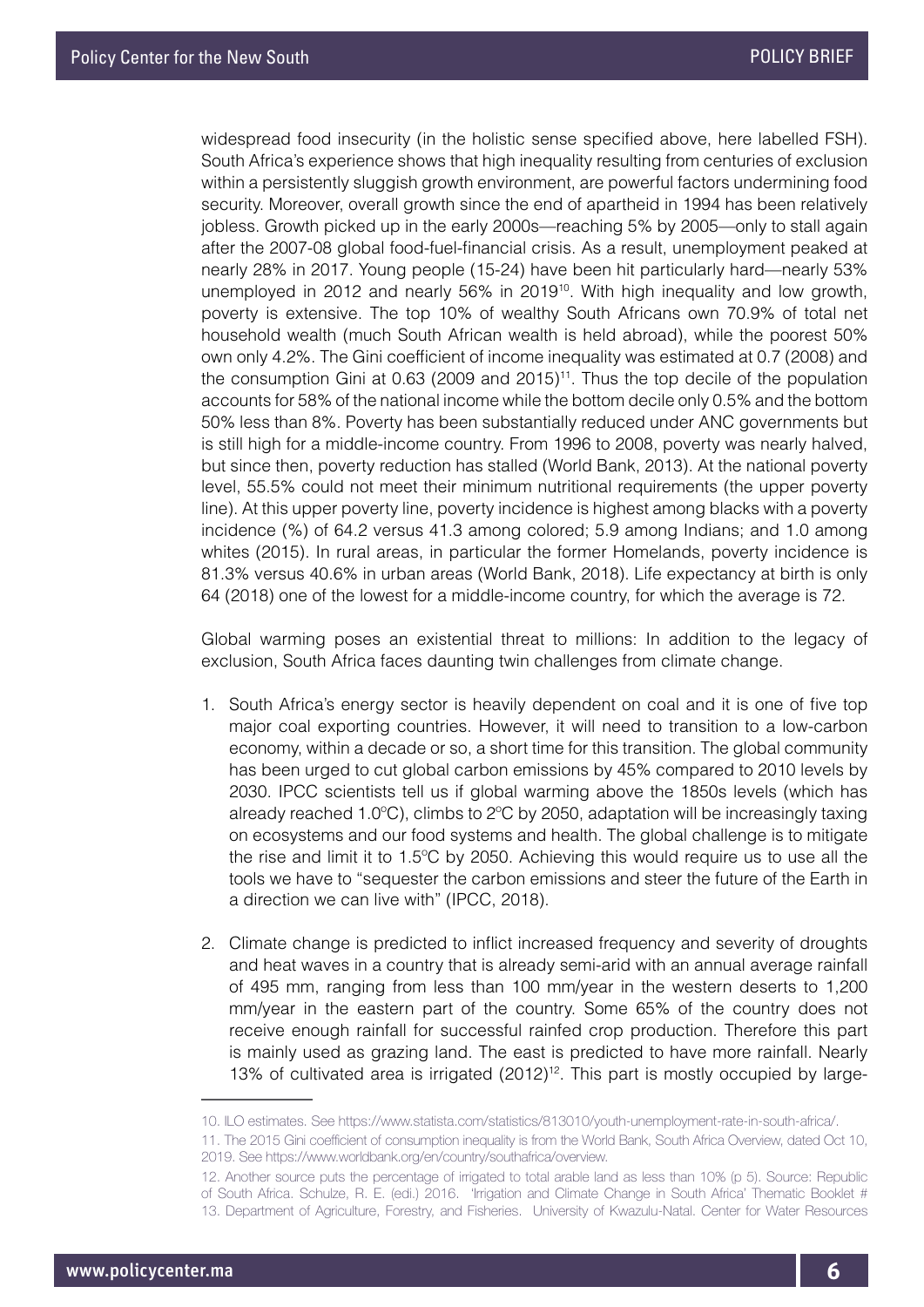widespread food insecurity (in the holistic sense specified above, here labelled FSH). South Africa's experience shows that high inequality resulting from centuries of exclusion within a persistently sluggish growth environment, are powerful factors undermining food security. Moreover, overall growth since the end of apartheid in 1994 has been relatively jobless. Growth picked up in the early 2000s—reaching 5% by 2005—only to stall again after the 2007-08 global food-fuel-financial crisis. As a result, unemployment peaked at nearly 28% in 2017. Young people (15-24) have been hit particularly hard—nearly 53% unemployed in 2012 and nearly 56% in 2019<sup>10</sup>. With high inequality and low growth, poverty is extensive. The top 10% of wealthy South Africans own 70.9% of total net household wealth (much South African wealth is held abroad), while the poorest 50% own only 4.2%. The Gini coefficient of income inequality was estimated at 0.7 (2008) and the consumption Gini at  $0.63$  (2009 and  $2015$ )<sup>11</sup>. Thus the top decile of the population accounts for 58% of the national income while the bottom decile only 0.5% and the bottom 50% less than 8%. Poverty has been substantially reduced under ANC governments but is still high for a middle-income country. From 1996 to 2008, poverty was nearly halved, but since then, poverty reduction has stalled (World Bank, 2013). At the national poverty level, 55.5% could not meet their minimum nutritional requirements (the upper poverty line). At this upper poverty line, poverty incidence is highest among blacks with a poverty incidence (%) of 64.2 versus 41.3 among colored; 5.9 among Indians; and 1.0 among whites (2015). In rural areas, in particular the former Homelands, poverty incidence is 81.3% versus 40.6% in urban areas (World Bank, 2018). Life expectancy at birth is only 64 (2018) one of the lowest for a middle-income country, for which the average is 72.

Global warming poses an existential threat to millions: In addition to the legacy of exclusion, South Africa faces daunting twin challenges from climate change.

- 1. South Africa's energy sector is heavily dependent on coal and it is one of five top major coal exporting countries. However, it will need to transition to a low-carbon economy, within a decade or so, a short time for this transition. The global community has been urged to cut global carbon emissions by 45% compared to 2010 levels by 2030. IPCC scientists tell us if global warming above the 1850s levels (which has already reached 1.0 $^{\circ}$ C), climbs to  $2^{\circ}$ C by 2050, adaptation will be increasingly taxing on ecosystems and our food systems and health. The global challenge is to mitigate the rise and limit it to 1.5ºC by 2050. Achieving this would require us to use all the tools we have to "sequester the carbon emissions and steer the future of the Earth in a direction we can live with" (IPCC, 2018).
- 2. Climate change is predicted to inflict increased frequency and severity of droughts and heat waves in a country that is already semi-arid with an annual average rainfall of 495 mm, ranging from less than 100 mm/year in the western deserts to 1,200 mm/year in the eastern part of the country. Some 65% of the country does not receive enough rainfall for successful rainfed crop production. Therefore this part is mainly used as grazing land. The east is predicted to have more rainfall. Nearly 13% of cultivated area is irrigated  $(2012)^{12}$ . This part is mostly occupied by large-

<sup>10.</sup> ILO estimates. See https://www.statista.com/statistics/813010/youth-unemployment-rate-in-south-africa/.

<sup>11.</sup> The 2015 Gini coefficient of consumption inequality is from the World Bank, South Africa Overview, dated Oct 10, 2019. See https://www.worldbank.org/en/country/southafrica/overview.

<sup>12.</sup> Another source puts the percentage of irrigated to total arable land as less than 10% (p 5). Source: Republic of South Africa. Schulze, R. E. (edi.) 2016. 'Irrigation and Climate Change in South Africa' Thematic Booklet # 13. Department of Agriculture, Forestry, and Fisheries. University of Kwazulu-Natal. Center for Water Resources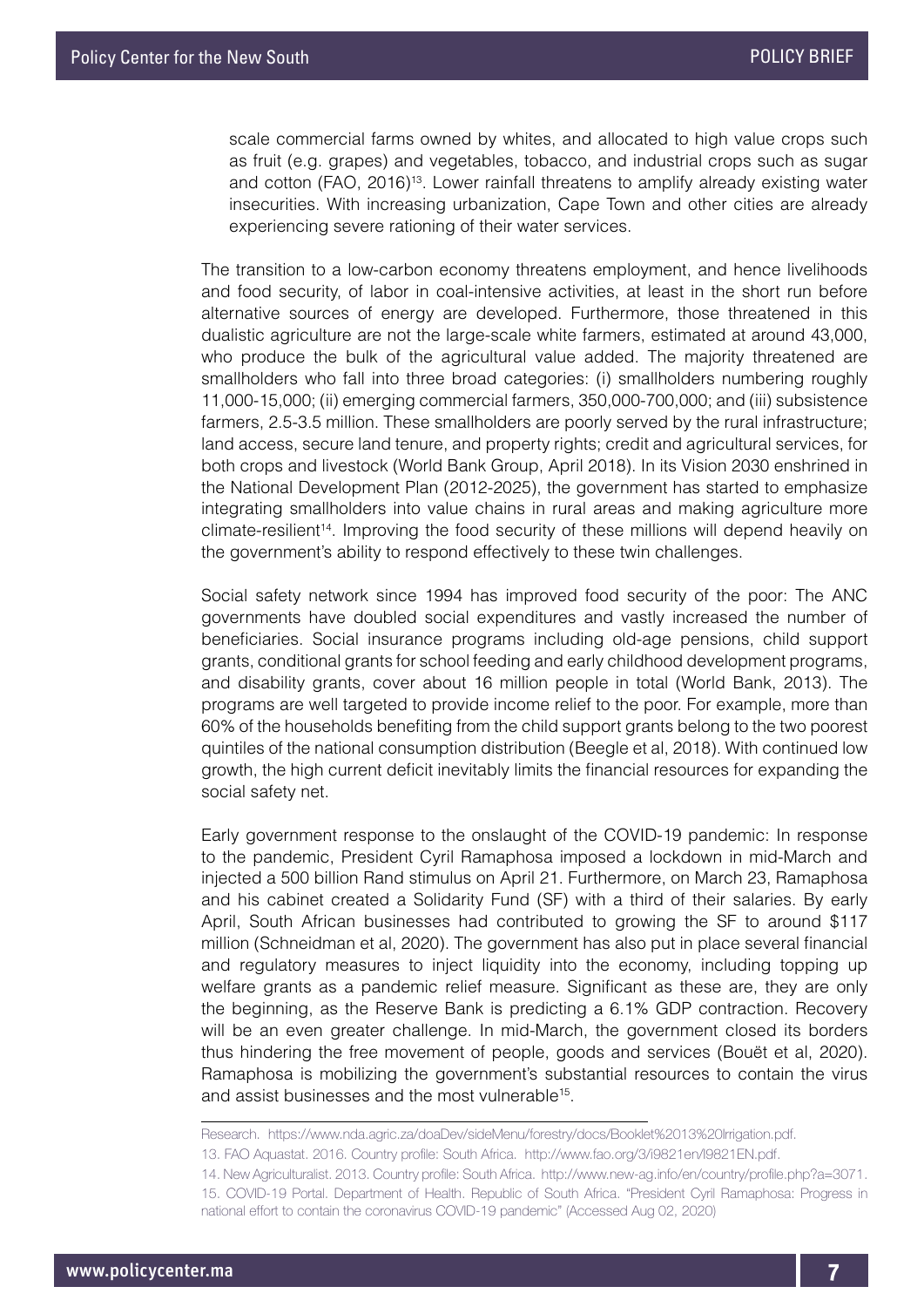scale commercial farms owned by whites, and allocated to high value crops such as fruit (e.g. grapes) and vegetables, tobacco, and industrial crops such as sugar and cotton (FAO, 2016)13. Lower rainfall threatens to amplify already existing water insecurities. With increasing urbanization, Cape Town and other cities are already experiencing severe rationing of their water services.

The transition to a low-carbon economy threatens employment, and hence livelihoods and food security, of labor in coal-intensive activities, at least in the short run before alternative sources of energy are developed. Furthermore, those threatened in this dualistic agriculture are not the large-scale white farmers, estimated at around 43,000, who produce the bulk of the agricultural value added. The majority threatened are smallholders who fall into three broad categories: (i) smallholders numbering roughly 11,000-15,000; (ii) emerging commercial farmers, 350,000-700,000; and (iii) subsistence farmers, 2.5-3.5 million. These smallholders are poorly served by the rural infrastructure; land access, secure land tenure, and property rights; credit and agricultural services, for both crops and livestock (World Bank Group, April 2018). In its Vision 2030 enshrined in the National Development Plan (2012-2025), the government has started to emphasize integrating smallholders into value chains in rural areas and making agriculture more climate-resilient<sup>14</sup>. Improving the food security of these millions will depend heavily on the government's ability to respond effectively to these twin challenges.

Social safety network since 1994 has improved food security of the poor: The ANC governments have doubled social expenditures and vastly increased the number of beneficiaries. Social insurance programs including old-age pensions, child support grants, conditional grants for school feeding and early childhood development programs, and disability grants, cover about 16 million people in total (World Bank, 2013). The programs are well targeted to provide income relief to the poor. For example, more than 60% of the households benefiting from the child support grants belong to the two poorest quintiles of the national consumption distribution (Beegle et al, 2018). With continued low growth, the high current deficit inevitably limits the financial resources for expanding the social safety net.

Early government response to the onslaught of the COVID-19 pandemic: In response to the pandemic, President Cyril Ramaphosa imposed a lockdown in mid-March and injected a 500 billion Rand stimulus on April 21. Furthermore, on March 23, Ramaphosa and his cabinet created a Solidarity Fund (SF) with a third of their salaries. By early April, South African businesses had contributed to growing the SF to around \$117 million (Schneidman et al, 2020). The government has also put in place several financial and regulatory measures to inject liquidity into the economy, including topping up welfare grants as a pandemic relief measure. Significant as these are, they are only the beginning, as the Reserve Bank is predicting a 6.1% GDP contraction. Recovery will be an even greater challenge. In mid-March, the government closed its borders thus hindering the free movement of people, goods and services (Bouët et al, 2020). Ramaphosa is mobilizing the government's substantial resources to contain the virus and assist businesses and the most vulnerable<sup>15</sup>.

Research. https://www.nda.agric.za/doaDev/sideMenu/forestry/docs/Booklet%2013%20Irrigation.pdf.

13. FAO Aquastat. 2016. Country profile: South Africa. http://www.fao.org/3/i9821en/I9821EN.pdf.

14. New Agriculturalist. 2013. Country profile: South Africa. http://www.new-ag.info/en/country/profile.php?a=3071. 15. COVID-19 Portal. Department of Health. Republic of South Africa. "President Cyril Ramaphosa: Progress in national effort to contain the coronavirus COVID-19 pandemic" (Accessed Aug 02, 2020)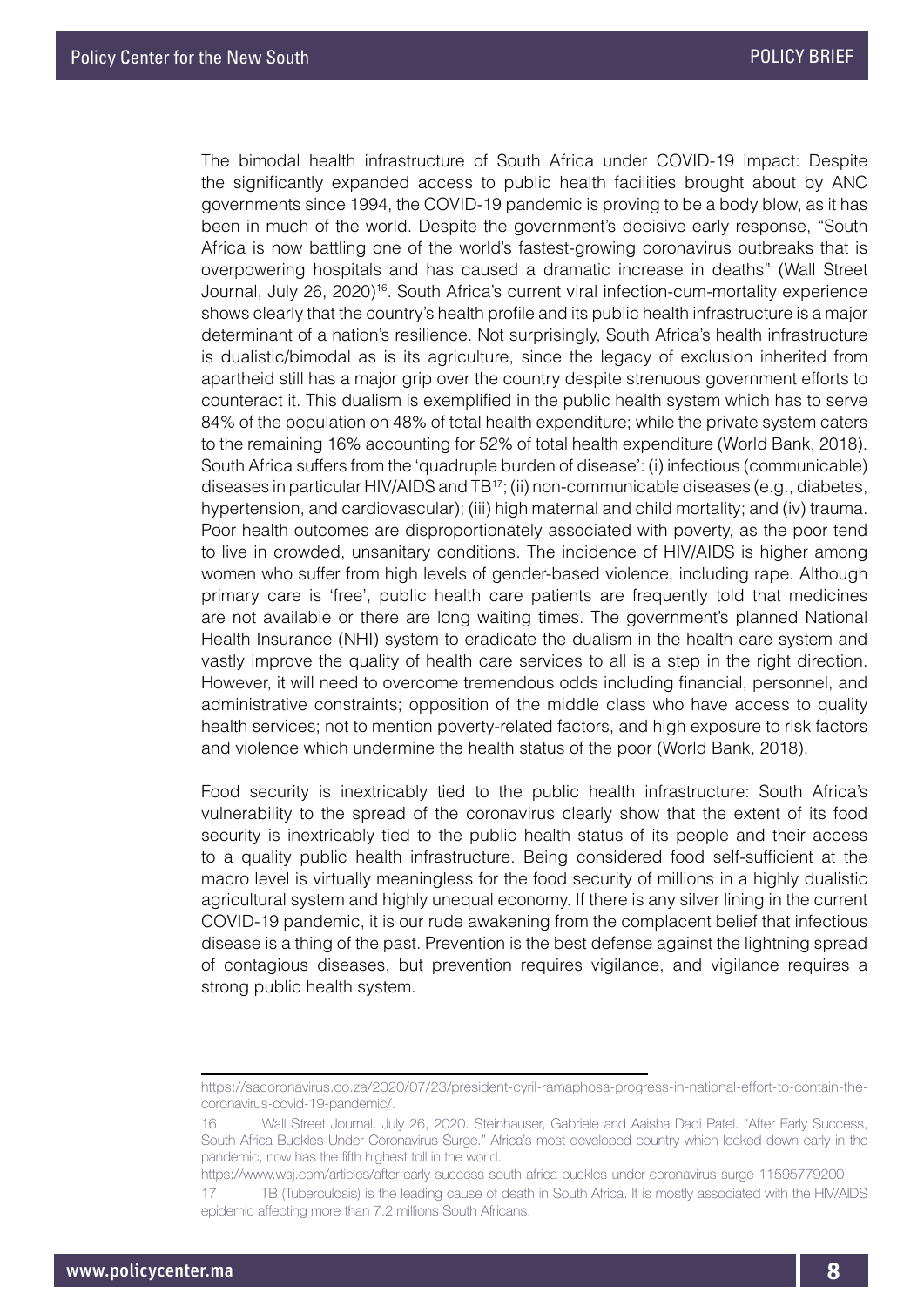The bimodal health infrastructure of South Africa under COVID-19 impact: Despite the significantly expanded access to public health facilities brought about by ANC governments since 1994, the COVID-19 pandemic is proving to be a body blow, as it has been in much of the world. Despite the government's decisive early response, "South Africa is now battling one of the world's fastest-growing coronavirus outbreaks that is overpowering hospitals and has caused a dramatic increase in deaths" (Wall Street Journal, July 26, 2020)16. South Africa's current viral infection-cum-mortality experience shows clearly that the country's health profile and its public health infrastructure is a major determinant of a nation's resilience. Not surprisingly, South Africa's health infrastructure is dualistic/bimodal as is its agriculture, since the legacy of exclusion inherited from apartheid still has a major grip over the country despite strenuous government efforts to counteract it. This dualism is exemplified in the public health system which has to serve 84% of the population on 48% of total health expenditure; while the private system caters to the remaining 16% accounting for 52% of total health expenditure (World Bank, 2018). South Africa suffers from the 'quadruple burden of disease': (i) infectious (communicable) diseases in particular HIV/AIDS and TB17; (ii) non-communicable diseases (e.g., diabetes, hypertension, and cardiovascular); (iii) high maternal and child mortality; and (iv) trauma. Poor health outcomes are disproportionately associated with poverty, as the poor tend to live in crowded, unsanitary conditions. The incidence of HIV/AIDS is higher among women who suffer from high levels of gender-based violence, including rape. Although primary care is 'free', public health care patients are frequently told that medicines are not available or there are long waiting times. The government's planned National Health Insurance (NHI) system to eradicate the dualism in the health care system and vastly improve the quality of health care services to all is a step in the right direction. However, it will need to overcome tremendous odds including financial, personnel, and administrative constraints; opposition of the middle class who have access to quality health services; not to mention poverty-related factors, and high exposure to risk factors and violence which undermine the health status of the poor (World Bank, 2018).

Food security is inextricably tied to the public health infrastructure: South Africa's vulnerability to the spread of the coronavirus clearly show that the extent of its food security is inextricably tied to the public health status of its people and their access to a quality public health infrastructure. Being considered food self-sufficient at the macro level is virtually meaningless for the food security of millions in a highly dualistic agricultural system and highly unequal economy. If there is any silver lining in the current COVID-19 pandemic, it is our rude awakening from the complacent belief that infectious disease is a thing of the past. Prevention is the best defense against the lightning spread of contagious diseases, but prevention requires vigilance, and vigilance requires a strong public health system.

https://www.wsj.com/articles/after-early-success-south-africa-buckles-under-coronavirus-surge-11595779200

https://sacoronavirus.co.za/2020/07/23/president-cyril-ramaphosa-progress-in-national-effort-to-contain-thecoronavirus-covid-19-pandemic/.

<sup>16</sup> Wall Street Journal. July 26, 2020. Steinhauser, Gabriele and Aaisha Dadi Patel. "After Early Success, South Africa Buckles Under Coronavirus Surge." Africa's most developed country which locked down early in the pandemic, now has the fifth highest toll in the world.

<sup>17</sup> TB (Tuberculosis) is the leading cause of death in South Africa. It is mostly associated with the HIV/AIDS epidemic affecting more than 7.2 millions South Africans.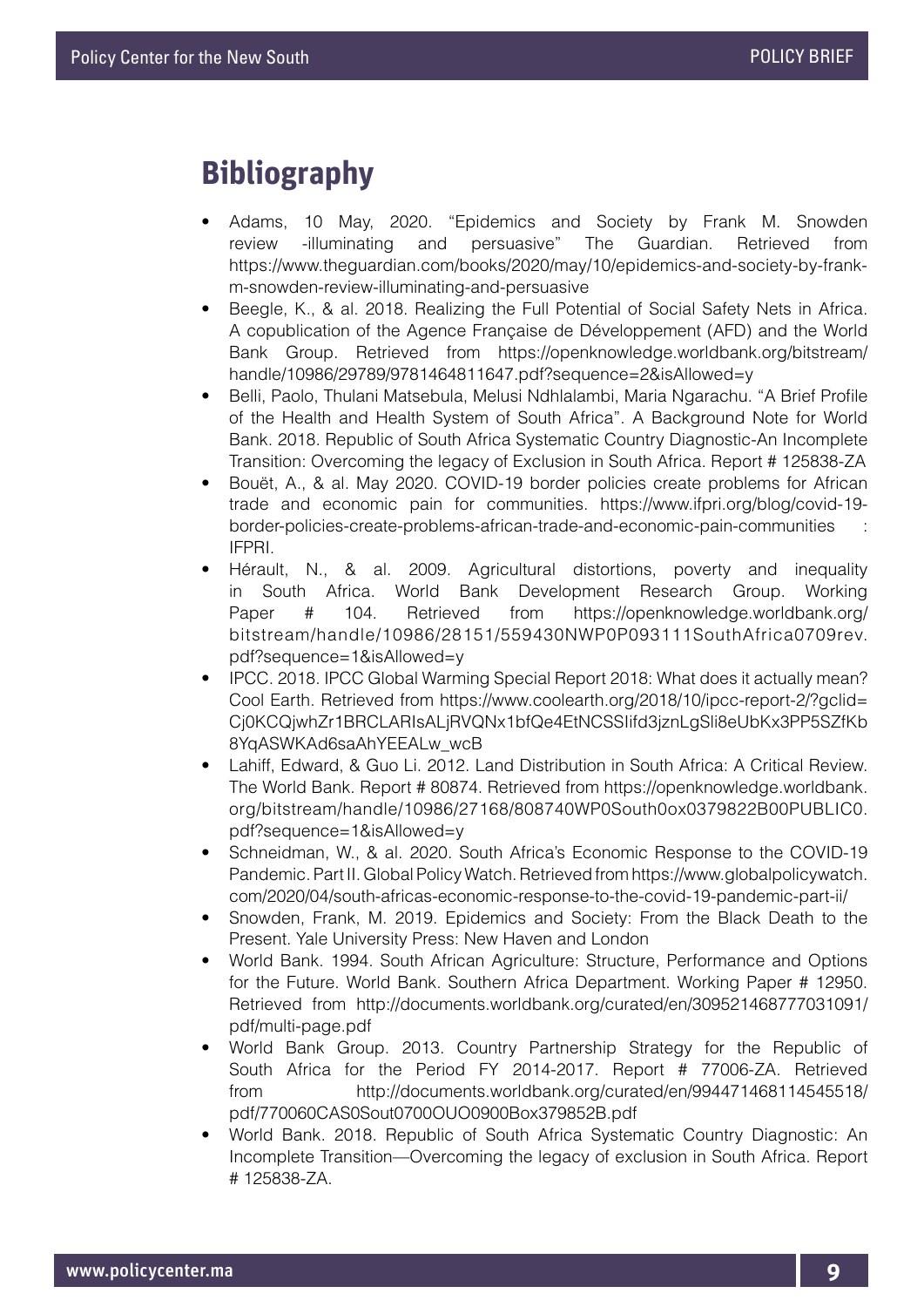## **Bibliography**

- Adams, 10 May, 2020. "Epidemics and Society by Frank M. Snowden review -illuminating and persuasive" The Guardian. Retrieved from https://www.theguardian.com/books/2020/may/10/epidemics-and-society-by-frankm-snowden-review-illuminating-and-persuasive
- Beegle, K., & al. 2018. Realizing the Full Potential of Social Safety Nets in Africa. A copublication of the Agence Française de Développement (AFD) and the World Bank Group. Retrieved from https://openknowledge.worldbank.org/bitstream/ handle/10986/29789/9781464811647.pdf?sequence=2&isAllowed=y
- Belli, Paolo, Thulani Matsebula, Melusi Ndhlalambi, Maria Ngarachu. "A Brief Profile of the Health and Health System of South Africa". A Background Note for World Bank. 2018. Republic of South Africa Systematic Country Diagnostic-An Incomplete Transition: Overcoming the legacy of Exclusion in South Africa. Report # 125838-ZA
- Bouët, A., & al. May 2020. COVID-19 border policies create problems for African trade and economic pain for communities. https://www.ifpri.org/blog/covid-19 border-policies-create-problems-african-trade-and-economic-pain-communities : IFPRI.
- Hérault, N., & al. 2009. Agricultural distortions, poverty and inequality in South Africa. World Bank Development Research Group. Working Paper # 104. Retrieved from https://openknowledge.worldbank.org/ bitstream/handle/10986/28151/559430NWP0P093111SouthAfrica0709rev. pdf?sequence=1&isAllowed=y
- IPCC. 2018. IPCC Global Warming Special Report 2018: What does it actually mean? Cool Earth. Retrieved from https://www.coolearth.org/2018/10/ipcc-report-2/?gclid= Cj0KCQjwhZr1BRCLARIsALjRVQNx1bfQe4EtNCSSIifd3jznLgSli8eUbKx3PP5SZfKb 8YqASWKAd6saAhYEEALw\_wcB
- Lahiff, Edward, & Guo Li. 2012. Land Distribution in South Africa: A Critical Review. The World Bank. Report # 80874. Retrieved from https://openknowledge.worldbank. org/bitstream/handle/10986/27168/808740WP0South0ox0379822B00PUBLIC0. pdf?sequence=1&isAllowed=y
- Schneidman, W., & al. 2020. South Africa's Economic Response to the COVID-19 Pandemic. Part II. Global Policy Watch. Retrieved from https://www.globalpolicywatch. com/2020/04/south-africas-economic-response-to-the-covid-19-pandemic-part-ii/
- Snowden, Frank, M. 2019. Epidemics and Society: From the Black Death to the Present. Yale University Press: New Haven and London
- World Bank. 1994. South African Agriculture: Structure, Performance and Options for the Future. World Bank. Southern Africa Department. Working Paper # 12950. Retrieved from http://documents.worldbank.org/curated/en/309521468777031091/ pdf/multi-page.pdf
- World Bank Group. 2013. Country Partnership Strategy for the Republic of South Africa for the Period FY 2014-2017. Report # 77006-ZA. Retrieved from http://documents.worldbank.org/curated/en/994471468114545518/ pdf/770060CAS0Sout0700OUO0900Box379852B.pdf
- World Bank. 2018. Republic of South Africa Systematic Country Diagnostic: An Incomplete Transition—Overcoming the legacy of exclusion in South Africa. Report # 125838-ZA.